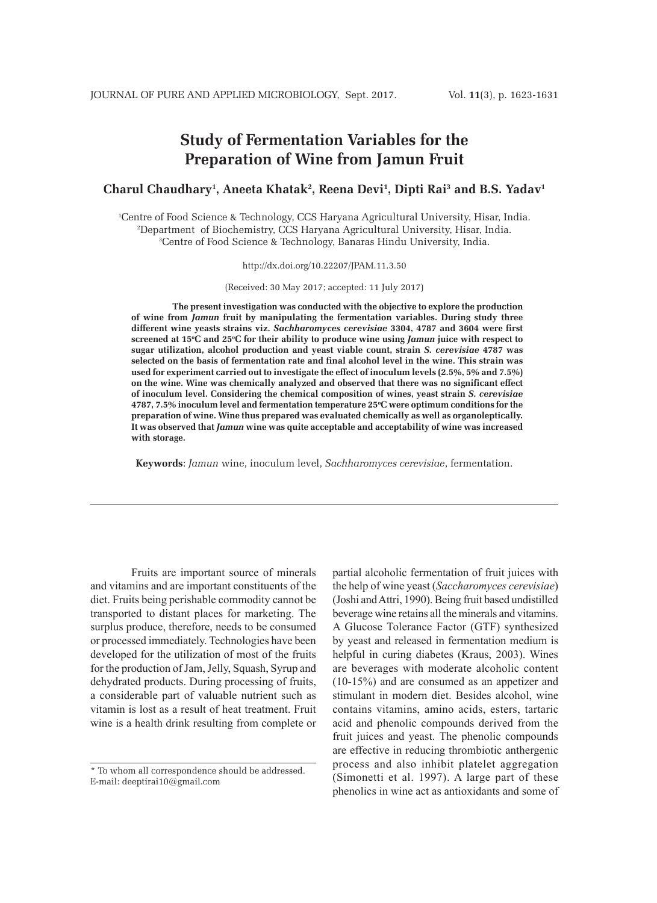# **Study of Fermentation Variables for the Preparation of Wine from Jamun Fruit**

## **Charul Chaudhary1 , Aneeta Khatak2 , Reena Devi1 , Dipti Rai3 and B.S. Yadav1**

1 Centre of Food Science & Technology, CCS Haryana Agricultural University, Hisar, India. 2 Department of Biochemistry, CCS Haryana Agricultural University, Hisar, India. 3 Centre of Food Science & Technology, Banaras Hindu University, India.

http://dx.doi.org/10.22207/JPAM.11.3.50

(Received: 30 May 2017; accepted: 11 July 2017)

**The present investigation was conducted with the objective to explore the production of wine from** *Jamun* **fruit by manipulating the fermentation variables. During study three different wine yeasts strains viz.** *Sachharomyces cerevisiae* **3304, 4787 and 3604 were first screened at 15o C and 25o C for their ability to produce wine using** *Jamun* **juice with respect to sugar utilization, alcohol production and yeast viable count, strain** *S. cerevisiae* **4787 was selected on the basis of fermentation rate and final alcohol level in the wine. This strain was used for experiment carried out to investigate the effect of inoculum levels (2.5%, 5% and 7.5%) on the wine. Wine was chemically analyzed and observed that there was no significant effect of inoculum level. Considering the chemical composition of wines, yeast strain** *S. cerevisiae* **4787, 7.5% inoculum level and fermentation temperature 25o C were optimum conditions for the preparation of wine. Wine thus prepared was evaluated chemically as well as organoleptically. It was observed that** *Jamun* **wine was quite acceptable and acceptability of wine was increased with storage.** 

**Keywords**: *Jamun* wine, inoculum level, *Sachharomyces cerevisiae*, fermentation.

Fruits are important source of minerals and vitamins and are important constituents of the diet. Fruits being perishable commodity cannot be transported to distant places for marketing. The surplus produce, therefore, needs to be consumed or processed immediately. Technologies have been developed for the utilization of most of the fruits for the production of Jam, Jelly, Squash, Syrup and dehydrated products. During processing of fruits, a considerable part of valuable nutrient such as vitamin is lost as a result of heat treatment. Fruit wine is a health drink resulting from complete or

partial alcoholic fermentation of fruit juices with the help of wine yeast (*Saccharomyces cerevisiae*) (Joshi and Attri, 1990). Being fruit based undistilled beverage wine retains all the minerals and vitamins. A Glucose Tolerance Factor (GTF) synthesized by yeast and released in fermentation medium is helpful in curing diabetes (Kraus, 2003). Wines are beverages with moderate alcoholic content (10-15%) and are consumed as an appetizer and stimulant in modern diet. Besides alcohol, wine contains vitamins, amino acids, esters, tartaric acid and phenolic compounds derived from the fruit juices and yeast. The phenolic compounds are effective in reducing thrombiotic anthergenic process and also inhibit platelet aggregation (Simonetti et al. 1997). A large part of these phenolics in wine act as antioxidants and some of

<sup>\*</sup> To whom all correspondence should be addressed. E-mail: deeptirai10@gmail.com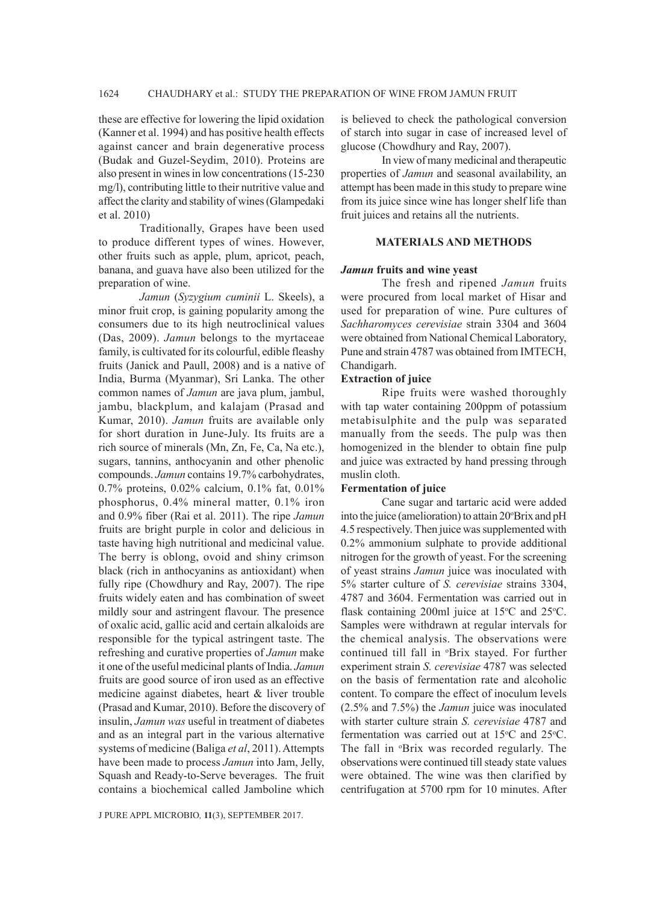these are effective for lowering the lipid oxidation (Kanner et al. 1994) and has positive health effects against cancer and brain degenerative process (Budak and Guzel-Seydim, 2010). Proteins are also present in wines in low concentrations (15-230 mg/l), contributing little to their nutritive value and affect the clarity and stability of wines (Glampedaki et al. 2010)

Traditionally, Grapes have been used to produce different types of wines. However, other fruits such as apple, plum, apricot, peach, banana, and guava have also been utilized for the preparation of wine.

*Jamun* (*Syzygium cuminii* L. Skeels), a minor fruit crop, is gaining popularity among the consumers due to its high neutroclinical values (Das, 2009). *Jamun* belongs to the myrtaceae family, is cultivated for its colourful, edible fleashy fruits (Janick and Paull, 2008) and is a native of India, Burma (Myanmar), Sri Lanka. The other common names of *Jamun* are java plum, jambul, jambu, blackplum, and kalajam (Prasad and Kumar, 2010). *Jamun* fruits are available only for short duration in June-July. Its fruits are a rich source of minerals (Mn, Zn, Fe, Ca, Na etc.), sugars, tannins, anthocyanin and other phenolic compounds. *Jamun* contains 19.7% carbohydrates, 0.7% proteins, 0.02% calcium, 0.1% fat, 0.01% phosphorus, 0.4% mineral matter, 0.1% iron and 0.9% fiber (Rai et al. 2011). The ripe *Jamun* fruits are bright purple in color and delicious in taste having high nutritional and medicinal value. The berry is oblong, ovoid and shiny crimson black (rich in anthocyanins as antioxidant) when fully ripe (Chowdhury and Ray, 2007). The ripe fruits widely eaten and has combination of sweet mildly sour and astringent flavour. The presence of oxalic acid, gallic acid and certain alkaloids are responsible for the typical astringent taste. The refreshing and curative properties of *Jamun* make it one of the useful medicinal plants of India. *Jamun* fruits are good source of iron used as an effective medicine against diabetes, heart & liver trouble (Prasad and Kumar, 2010). Before the discovery of insulin, *Jamun was* useful in treatment of diabetes and as an integral part in the various alternative systems of medicine (Baliga *et al*, 2011). Attempts have been made to process *Jamun* into Jam, Jelly, Squash and Ready-to-Serve beverages. The fruit contains a biochemical called Jamboline which

is believed to check the pathological conversion of starch into sugar in case of increased level of glucose (Chowdhury and Ray, 2007).

In view of many medicinal and therapeutic properties of *Jamun* and seasonal availability, an attempt has been made in this study to prepare wine from its juice since wine has longer shelf life than fruit juices and retains all the nutrients.

#### **MATERIALS AND METHODS**

#### *Jamun* **fruits and wine yeast**

The fresh and ripened *Jamun* fruits were procured from local market of Hisar and used for preparation of wine. Pure cultures of *Sachharomyces cerevisiae* strain 3304 and 3604 were obtained from National Chemical Laboratory, Pune and strain 4787 was obtained from IMTECH, Chandigarh.

## **Extraction of juice**

Ripe fruits were washed thoroughly with tap water containing 200ppm of potassium metabisulphite and the pulp was separated manually from the seeds. The pulp was then homogenized in the blender to obtain fine pulp and juice was extracted by hand pressing through muslin cloth.

#### **Fermentation of juice**

Cane sugar and tartaric acid were added into the juice (amelioration) to attain 20°Brix and pH 4.5 respectively. Then juice was supplemented with 0.2% ammonium sulphate to provide additional nitrogen for the growth of yeast. For the screening of yeast strains *Jamun* juice was inoculated with 5% starter culture of *S. cerevisiae* strains 3304, 4787 and 3604. Fermentation was carried out in flask containing 200ml juice at  $15^{\circ}$ C and  $25^{\circ}$ C. Samples were withdrawn at regular intervals for the chemical analysis. The observations were continued till fall in *°Brix* stayed. For further experiment strain *S. cerevisiae* 4787 was selected on the basis of fermentation rate and alcoholic content. To compare the effect of inoculum levels (2.5% and 7.5%) the *Jamun* juice was inoculated with starter culture strain *S. cerevisiae* 4787 and fermentation was carried out at 15°C and 25°C. The fall in *'Brix* was recorded regularly. The observations were continued till steady state values were obtained. The wine was then clarified by centrifugation at 5700 rpm for 10 minutes. After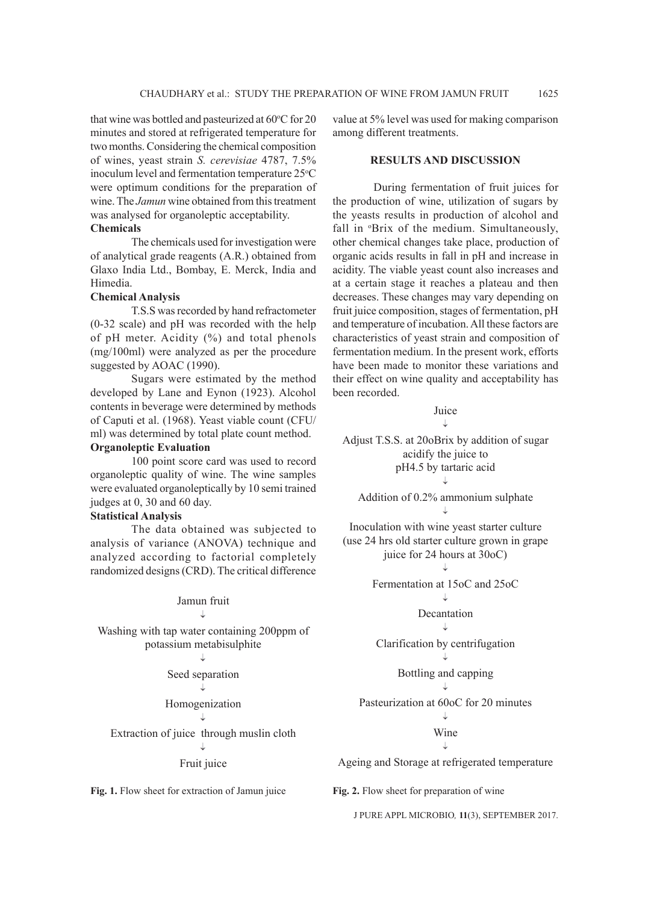that wine was bottled and pasteurized at 60°C for 20 minutes and stored at refrigerated temperature for two months. Considering the chemical composition of wines, yeast strain *S. cerevisiae* 4787, 7.5% inoculum level and fermentation temperature 25°C were optimum conditions for the preparation of wine. The *Jamun* wine obtained from this treatment was analysed for organoleptic acceptability.

## **Chemicals**

The chemicals used for investigation were of analytical grade reagents (A.R.) obtained from Glaxo India Ltd., Bombay, E. Merck, India and Himedia.

## **Chemical Analysis**

T.S.S was recorded by hand refractometer (0-32 scale) and pH was recorded with the help of pH meter. Acidity (%) and total phenols (mg/100ml) were analyzed as per the procedure suggested by AOAC (1990).

Sugars were estimated by the method developed by Lane and Eynon (1923). Alcohol contents in beverage were determined by methods of Caputi et al. (1968). Yeast viable count (CFU/ ml) was determined by total plate count method.

## **Organoleptic Evaluation**

100 point score card was used to record organoleptic quality of wine. The wine samples were evaluated organoleptically by 10 semi trained judges at 0, 30 and 60 day.

## **Statistical Analysis**

The data obtained was subjected to analysis of variance (ANOVA) technique and analyzed according to factorial completely randomized designs (CRD). The critical difference

#### Jamun fruit

Washing with tap water containing 200ppm of potassium metabisulphite

Seed separation

#### Homogenization

Extraction of juice through muslin cloth

#### Fruit juice

Fig. 1. Flow sheet for extraction of Jamun juice

value at 5% level was used for making comparison among different treatments.

## **RESULTS AND DISCUSSION**

During fermentation of fruit juices for the production of wine, utilization of sugars by the yeasts results in production of alcohol and fall in *'Brix* of the medium. Simultaneously, other chemical changes take place, production of organic acids results in fall in pH and increase in acidity. The viable yeast count also increases and at a certain stage it reaches a plateau and then decreases. These changes may vary depending on fruit juice composition, stages of fermentation, pH and temperature of incubation. All these factors are characteristics of yeast strain and composition of fermentation medium. In the present work, efforts have been made to monitor these variations and their effect on wine quality and acceptability has been recorded.

## Juice

T

Adjust T.S.S. at 20oBrix by addition of sugar acidify the juice to pH4.5 by tartaric acid

Addition of 0.2% ammonium sulphate

Inoculation with wine yeast starter culture (use 24 hrs old starter culture grown in grape juice for 24 hours at 30oC)

Fermentation at 15oC and 25oC

## J. Decantation

Clarification by centrifugation

## Bottling and capping

Pasteurization at 60oC for 20 minutes T

Wine

Ageing and Storage at refrigerated temperature

**Fig. 2.** Flow sheet for preparation of wine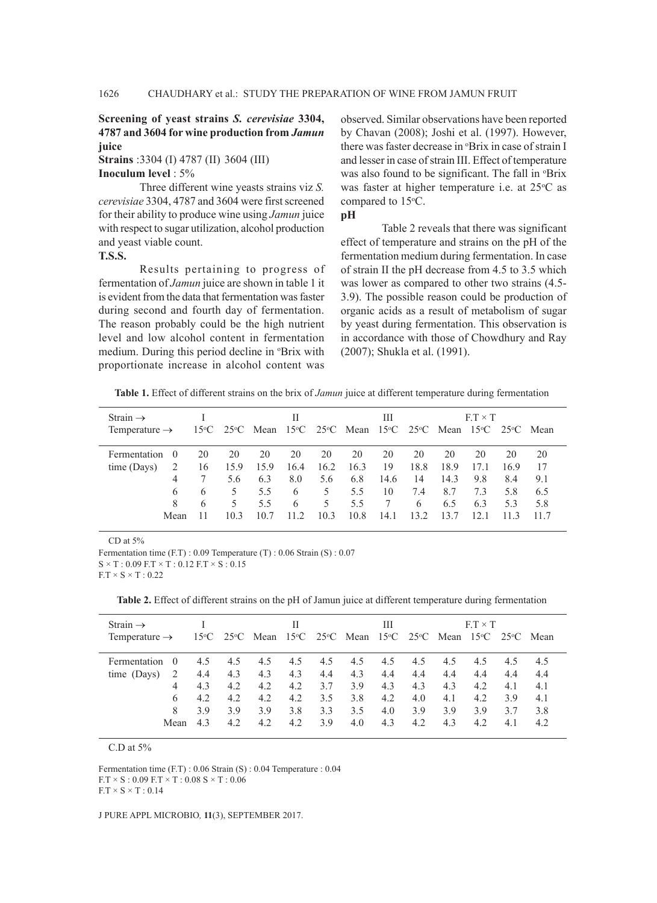## **Screening of yeast strains** *S. cerevisiae* **3304, 4787 and 3604 for wine production from** *Jamun* **juice**

**Strains** :3304 (I) 4787 (II) 3604 (III)

**Inoculum level** : 5%

Three different wine yeasts strains viz *S. cerevisiae* 3304, 4787 and 3604 were first screened for their ability to produce wine using *Jamun* juice with respect to sugar utilization, alcohol production and yeast viable count.

**T.S.S.**

Results pertaining to progress of fermentation of *Jamun* juice are shown in table 1 it is evident from the data that fermentation was faster during second and fourth day of fermentation. The reason probably could be the high nutrient level and low alcohol content in fermentation medium. During this period decline in *P*Brix with proportionate increase in alcohol content was observed. Similar observations have been reported by Chavan (2008); Joshi et al. (1997). However, there was faster decrease in *P*Brix in case of strain I and lesser in case of strain III. Effect of temperature was also found to be significant. The fall in *P*Brix was faster at higher temperature i.e. at 25°C as compared to 15°C.

## **pH**

Table 2 reveals that there was significant effect of temperature and strains on the pH of the fermentation medium during fermentation. In case of strain II the pH decrease from 4.5 to 3.5 which was lower as compared to other two strains (4.5- 3.9). The possible reason could be production of organic acids as a result of metabolism of sugar by yeast during fermentation. This observation is in accordance with those of Chowdhury and Ray (2007); Shukla et al. (1991).

**Table 1.** Effect of different strains on the brix of *Jamun* juice at different temperature during fermentation

| Strain $\rightarrow$<br>Temperature $\rightarrow$ |          |    |      | 15°C 25°C Mean 15°C 25°C Mean 15°C 25°C Mean 15°C 25°C Mean | Н    |      |      | Ш    |      |      | $F.T \times T$ |      |      |
|---------------------------------------------------|----------|----|------|-------------------------------------------------------------|------|------|------|------|------|------|----------------|------|------|
|                                                   |          |    |      |                                                             |      |      |      |      |      |      |                |      |      |
| Fermentation                                      | $\theta$ | 20 | 20   | 20                                                          | 20   | 20   | 20   | 20   | 20   | 20   | 20             | 20   | 20   |
| time (Days)                                       |          | 16 | 15.9 | 15.9                                                        | 16.4 | 16.2 | 16.3 | 19   | 18.8 | 18.9 | 17.1           | 16.9 | 17   |
|                                                   | 4        |    | 5.6  | 6.3                                                         | 8.0  | 5.6  | 6.8  | 14.6 | 14   | 14.3 | 9.8            | 8.4  | 9.1  |
|                                                   | 6        | 6  |      | 5.5                                                         | 6    | 5    | 5.5  | 10   | 7.4  | 8.7  | 7.3            | 5.8  | 6.5  |
|                                                   | 8        | 6  | 5.   | 5.5                                                         | 6    | 5    | 5.5  | 7    | 6    | 6.5  | 6.3            | 5.3  | 5.8  |
|                                                   | Mean     |    | 103  | 10.7                                                        | 11.2 | 10.3 | 10.8 | 14.1 | 132  | 13.7 |                |      | 11.7 |

CD at 5%

Fermentation time (F.T) : 0.09 Temperature (T) : 0.06 Strain (S) : 0.07

 $S \times T : 0.09 F.T \times T : 0.12 F.T \times S : 0.15$ 

 $F.T \times S \times T : 0.22$ 

**Table 2.** Effect of different strains on the pH of Jamun juice at different temperature during fermentation

| Strain $\rightarrow$      |                  |     |     |                                                                                                                                                                     | Н   |     |     | Ш   |     |     | $FT \times T$ |     |     |
|---------------------------|------------------|-----|-----|---------------------------------------------------------------------------------------------------------------------------------------------------------------------|-----|-----|-----|-----|-----|-----|---------------|-----|-----|
| Temperature $\rightarrow$ |                  |     |     | 15 <sup>o</sup> C 25 <sup>o</sup> C Mean 15 <sup>o</sup> C 25 <sup>o</sup> C Mean 15 <sup>o</sup> C 25 <sup>o</sup> C Mean 15 <sup>o</sup> C 25 <sup>o</sup> C Mean |     |     |     |     |     |     |               |     |     |
|                           |                  |     |     |                                                                                                                                                                     |     |     |     |     |     |     |               |     |     |
| Fermentation              | $\left( \right)$ | 4.5 | 4.5 | 4.5                                                                                                                                                                 | 4.5 | 4.5 | 4.5 | 4.5 | 4.5 | 4.5 | 4.5           | 4.5 | 4.5 |
| time (Days)               | 2                | 4.4 | 4.3 | 4.3                                                                                                                                                                 | 4.3 | 4.4 | 4.3 | 4.4 | 4.4 | 4.4 | 4.4           | 4.4 | 4.4 |
|                           | 4                | 4.3 | 4.2 | 4.2                                                                                                                                                                 | 4.2 | 3.7 | 3.9 | 4.3 | 4.3 | 4.3 | 4.2           | 4.1 | 4.1 |
|                           | 6                | 4.2 | 4.2 | 4.2                                                                                                                                                                 | 4.2 | 3.5 | 3.8 | 4.2 | 4.0 | 4.1 | 4.2           | 3.9 | 4.1 |
|                           | 8                | 39  | 3.9 | 3.9                                                                                                                                                                 | 3.8 | 3.3 | 3.5 | 4.0 | 3.9 | 3.9 | 3.9           | 3.7 | 3.8 |
|                           | Mean             | 43  | 4.2 | 4.2                                                                                                                                                                 | 4.2 | 3.9 | 4.0 | 4.3 | 4.2 | 4.3 | 4.2           | 4.1 | 4.2 |
|                           |                  |     |     |                                                                                                                                                                     |     |     |     |     |     |     |               |     |     |

C.D at 5%

Fermentation time (F.T) : 0.06 Strain (S) : 0.04 Temperature : 0.04  $F.T \times S$ : 0.09  $F.T \times T$ : 0.08  $S \times T$ : 0.06  $F.T \times S \times T : 0.14$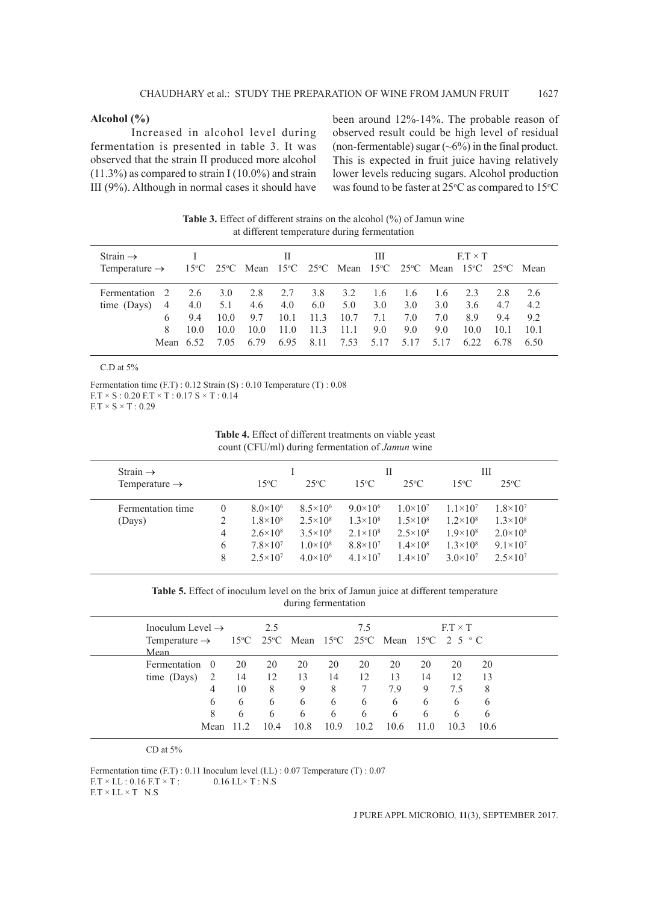## **Alcohol (%)**

Increased in alcohol level during fermentation is presented in table 3. It was observed that the strain II produced more alcohol  $(11.3\%)$  as compared to strain I  $(10.0\%)$  and strain III (9%). Although in normal cases it should have been around 12%-14%. The probable reason of observed result could be high level of residual (non-fermentable) sugar  $({\sim}6\%)$  in the final product. This is expected in fruit juice having relatively lower levels reducing sugars. Alcohol production was found to be faster at  $25^{\circ}$ C as compared to  $15^{\circ}$ C

| Strain $\rightarrow$<br>Temperature $\rightarrow$ 15°C 25°C Mean 15°C 25°C Mean 15°C 25°C Mean 15°C 25°C Mean |                                             |                            |                                           | $\mathbf{H}$        |                                                         |                             | Ш                                    |                           |                                      | $ET \times T$             |                                  |                                 |
|---------------------------------------------------------------------------------------------------------------|---------------------------------------------|----------------------------|-------------------------------------------|---------------------|---------------------------------------------------------|-----------------------------|--------------------------------------|---------------------------|--------------------------------------|---------------------------|----------------------------------|---------------------------------|
| Fermentation 2<br>time $(Davs)$ 4<br>8                                                                        | 2.6 3.0<br>4.0<br>94<br>10 O<br>Mean $6.52$ | 5.1<br>10.0<br>10.0<br>705 | 2.8<br>$4.6$ $4.0$<br>9.7<br>10.0<br>6.79 | 2.7<br>11.0<br>6.95 | 3.8<br>$6.0\qquad 5.0$<br>$10.1$ 11.3<br>- 11.3<br>8.11 | 3.2<br>10.7<br>11.1<br>7.53 | 1.6 1.6<br>3.0<br>7.1<br>9.0<br>5.17 | 3.0<br>7.0<br>9.0<br>5.17 | 1.6 2.3<br>3.0<br>7.0<br>9.0<br>5.17 | 3.6<br>89<br>10.0<br>6.22 | 2.8<br>47<br>9.4<br>10.1<br>6.78 | 2.6<br>42<br>92<br>10.1<br>6.50 |

**Table 3.** Effect of different strains on the alcohol (%) of Jamun wine at different temperature during fermentation

#### C.D at 5%

Fermentation time (F.T) : 0.12 Strain (S) : 0.10 Temperature (T) : 0.08  $\text{F.T} \times \text{S}$ : 0.20  $\text{F.T} \times \text{T}$ : 0.17  $\text{S} \times \text{T}$ : 0.14  $F.T \times S \times T : 0.29$ 

| <b>Table 4.</b> Effect of different treatments on viable yeast |
|----------------------------------------------------------------|
| count (CFU/ml) during fermentation of <i>Jamun</i> wine        |

| Strain $\rightarrow$      |          |                     |                     |                     | П                   |                     | Ш                   |  |
|---------------------------|----------|---------------------|---------------------|---------------------|---------------------|---------------------|---------------------|--|
| Temperature $\rightarrow$ |          | $15^{\circ}$ C      | $25^{\circ}$ C      | $15^{\circ}$ C      | $25^{\circ}$ C      | $15^{\circ}$ C      | $25^{\circ}$ C      |  |
| Fermentation time         | $\theta$ | $8.0\times10^{6}$   | $8.5 \times 10^{6}$ | $9.0 \times 10^6$   | $1.0\times10^{7}$   | $1.1 \times 10^{7}$ | $1.8 \times 10^{7}$ |  |
| (Days)                    |          | $1.8 \times 10^8$   | $2.5 \times 10^8$   | $1.3\times10^{8}$   | $1.5 \times 10^8$   | $1.2 \times 10^8$   | $1.3\times10^{8}$   |  |
|                           | 4        | $2.6 \times 10^8$   | $3.5 \times 10^8$   | $2.1 \times 10^8$   | $2.5 \times 10^8$   | $1.9\times10^{8}$   | $2.0 \times 10^8$   |  |
|                           | 6        | $7.8 \times 10^7$   | $1.0\times10^{8}$   | $8.8 \times 10^{7}$ | $1.4\times10^{8}$   | $1.3 \times 10^8$   | $9.1 \times 10^7$   |  |
|                           | 8        | $2.5 \times 10^{7}$ | $4.0 \times 10^6$   | $4.1 \times 10^{7}$ | $1.4 \times 10^{7}$ | $3.0 \times 10^{7}$ | $2.5 \times 10^7$   |  |

**Table 5.** Effect of inoculum level on the brix of Jamun juice at different temperature during fermentation

| Inoculum Level $\rightarrow$<br>Temperature $\rightarrow$ 15°C 25°C Mean 15°C 25°C Mean 15°C 2 5 °C<br>Mean |                                      |                          | 2.5                            |                                 |                                 | 7.5                        |                                   |                                 | $ET \times T$             |                                 |
|-------------------------------------------------------------------------------------------------------------|--------------------------------------|--------------------------|--------------------------------|---------------------------------|---------------------------------|----------------------------|-----------------------------------|---------------------------------|---------------------------|---------------------------------|
| Fermentation<br>time (Days)                                                                                 | $\theta$<br>2<br>4<br>6<br>8<br>Mean | 20<br>14<br>10<br>6<br>6 | 20<br>12<br>8<br>6<br>6<br>104 | 20<br>13<br>9<br>6<br>6<br>10.8 | 20<br>14<br>8<br>6<br>6<br>10.9 | 20<br>12<br>6<br>6<br>10.2 | 20<br>13<br>7.9<br>6<br>6<br>10.6 | 20<br>14<br>9<br>6<br>6<br>11.0 | 20<br>12<br>7.5<br>6<br>6 | 20<br>13<br>8<br>6<br>6<br>10.6 |

CD at 5%

Fermentation time (F.T) : 0.11 Inoculum level (I.L) : 0.07 Temperature (T) : 0.07  $F.T \times I.L$ : 0.16  $F.T \times T$ : 0.16  $I.L \times T$ : N.S  $F.T \times I.L \times T$  N.S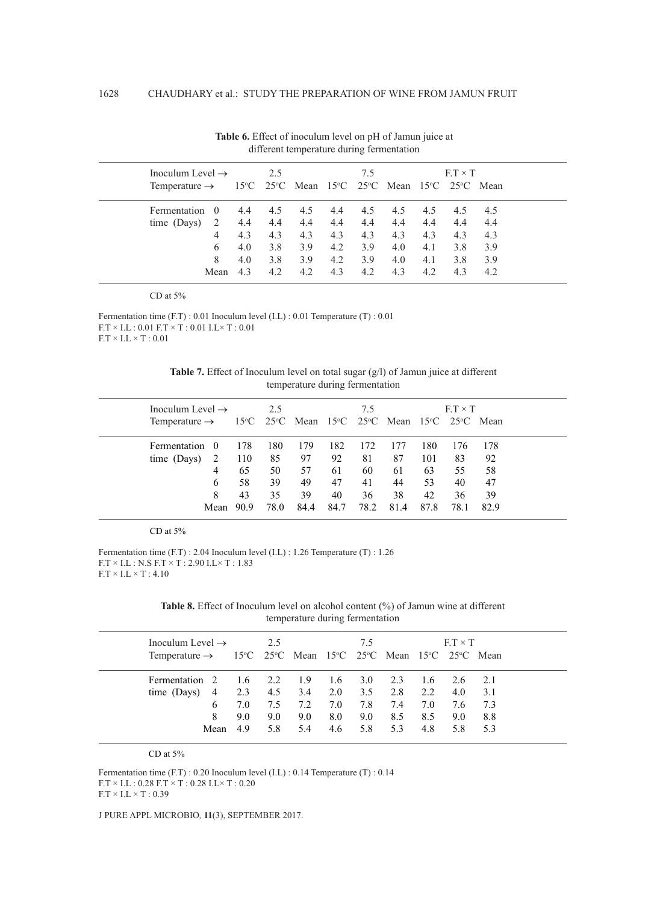| Inoculum Level $\rightarrow$ | 2.5              |     |     | 7.5 |     |     | $F.T \times T$                                                                                                          |     |     |     |
|------------------------------|------------------|-----|-----|-----|-----|-----|-------------------------------------------------------------------------------------------------------------------------|-----|-----|-----|
| Temperature $\rightarrow$    |                  |     |     |     |     |     | $15^{\circ}$ C 25 <sup>°</sup> C Mean 15 <sup>°</sup> C 25 <sup>°</sup> C Mean 15 <sup>°</sup> C 25 <sup>°</sup> C Mean |     |     |     |
| Fermentation                 | $\left( \right)$ | 4.4 | 4.5 | 4.5 | 4.4 | 4.5 | 4.5                                                                                                                     | 4.5 | 4.5 | 4.5 |
| time (Days)                  | -2               | 4.4 | 4.4 | 4.4 | 4.4 | 4.4 | 4.4                                                                                                                     | 4.4 | 4.4 | 4.4 |
|                              | 4                | 4.3 | 4.3 | 4.3 | 4.3 | 4.3 | 4.3                                                                                                                     | 4.3 | 4.3 | 4.3 |
|                              | 6                | 4.0 | 3.8 | 3.9 | 4.2 | 3.9 | 4.0                                                                                                                     | 4.1 | 3.8 | 3.9 |
|                              | 8                | 4.0 | 3.8 | 3.9 | 4.2 | 3.9 | 4.0                                                                                                                     | 4.1 | 3.8 | 3.9 |
|                              | Mean             | 43  | 4.2 | 4.2 | 4.3 | 4.2 | 4.3                                                                                                                     | 4.2 | 4.3 | 4.2 |

**Table 6.** Effect of inoculum level on pH of Jamun juice at different temperature during fermentation

CD at 5%

Fermentation time (F.T) : 0.01 Inoculum level (I.L) : 0.01 Temperature (T) : 0.01  $\text{F.T} \times \text{I.L}$  : 0.01  $\text{F.T} \times \text{T}$  : 0.01  $\text{I.L} \times \text{T}$  : 0.01  $F.T \times I.L \times T : 0.01$ 

Table 7. Effect of Inoculum level on total sugar (g/l) of Jamun juice at different temperature during fermentation

| Inoculum Level $\rightarrow$ |      | 2.5  |                                                                                                                         |      | 7.5  |      |      | $FT \times T$ |      |  |
|------------------------------|------|------|-------------------------------------------------------------------------------------------------------------------------|------|------|------|------|---------------|------|--|
| Temperature $\rightarrow$    |      |      | $15^{\circ}$ C 25 <sup>°</sup> C Mean 15 <sup>°</sup> C 25 <sup>°</sup> C Mean 15 <sup>°</sup> C 25 <sup>°</sup> C Mean |      |      |      |      |               |      |  |
| Fermentation<br>$\theta$     | 178  | 180  | 179                                                                                                                     | 182  | 172  | 177  | 180  | 176           | 178  |  |
| 2<br>time (Days)             | 110  | 85   | 97                                                                                                                      | 92   | 81   | 87   | 101  | 83            | 92   |  |
| 4                            | 65   | 50   | 57                                                                                                                      | 61   | 60   | 61   | 63   | 55            | 58   |  |
| 6                            | 58   | 39   | 49                                                                                                                      | 47   | 41   | 44   | 53   | 40            | 47   |  |
| 8                            | 43   | 35   | 39                                                                                                                      | 40   | 36   | 38   | 42   | 36            | 39   |  |
| Mean                         | 90.9 | 78.0 | 84.4                                                                                                                    | 84.7 | 78.2 | 81.4 | 87.8 | 78.1          | 82.9 |  |

#### CD at 5%

Fermentation time (F.T) : 2.04 Inoculum level (I.L) : 1.26 Temperature (T) : 1.26 F.T × I.L : N.S F.T × T : 2.90 I.L× T : 1.83  $F.T \times I.L \times T : 4.10$ 

**Table 8.** Effect of Inoculum level on alcohol content (%) of Jamun wine at different temperature during fermentation

| Inoculum Level $\rightarrow$                                           |         | 2.5 |     |      | 75  |     |     | $F.T \times T$ |        |
|------------------------------------------------------------------------|---------|-----|-----|------|-----|-----|-----|----------------|--------|
| Temperature $\rightarrow$ 15°C 25°C Mean 15°C 25°C Mean 15°C 25°C Mean |         |     |     |      |     |     |     |                |        |
| Fermentation 2                                                         | 1.6 2.2 |     | 1.9 | -1.6 | 3.0 | 2.3 | 1.6 | 2.6            | $-2.1$ |
| $\overline{4}$<br>time (Days)                                          | 2.3     | 4.5 | 3.4 | 2.0  | 3.5 | 2.8 | 2.2 | 4.0            | 3.1    |
| 6                                                                      | 7.0     | 7.5 | 7.2 | 7.0  | 7.8 | 7.4 | 7.0 | 7.6            | - 7.3  |
| 8                                                                      | 9.0     | 9.0 | 9.0 | 8.0  | 9.0 | 8.5 | 8.5 | 9.0            | 8.8    |
| Mean                                                                   | 49      | 5.8 | 5.4 | 4.6  | 5.8 | 5.3 | 4.8 | 5.8            | 5.3    |
|                                                                        |         |     |     |      |     |     |     |                |        |

CD at 5%

Fermentation time (F.T) : 0.20 Inoculum level (I.L) : 0.14 Temperature (T) : 0.14  $\text{F.T} \times \text{I.L}$  :  $0.28 \ \text{F.T} \times \text{T}$  :  $0.28 \ \text{I.L} \times \text{T}$  :  $0.20$  $F.T \times I.L \times T$  : 0.39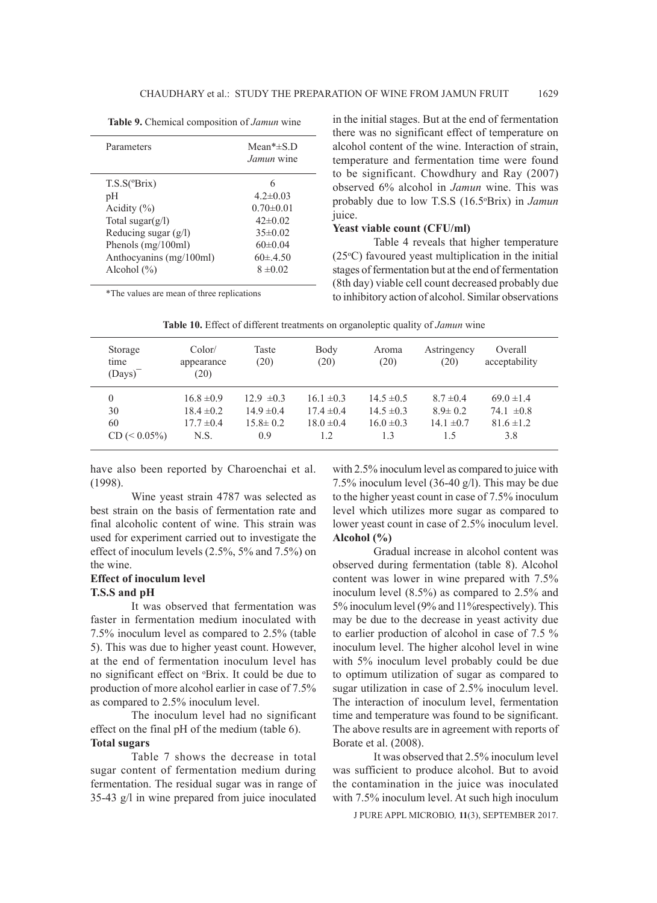|  |  |  | Table 9. Chemical composition of Jamun wine |  |  |
|--|--|--|---------------------------------------------|--|--|
|--|--|--|---------------------------------------------|--|--|

| Parameters              | Mean <sup>*<math>\pm</math>S.D</sup><br><i>Jamun</i> wine |
|-------------------------|-----------------------------------------------------------|
| $T.S.S(^{\circ}Brix)$   |                                                           |
| рH                      | $4.2 \pm 0.03$                                            |
| Acidity $(\% )$         | $0.70 \pm 0.01$                                           |
| Total sugar $(g/l)$     | $42\pm0.02$                                               |
| Reducing sugar (g/l)    | $35\pm0.02$                                               |
| Phenols (mg/100ml)      | $60\pm0.04$                                               |
| Anthocyanins (mg/100ml) | $60 \pm 4.50$                                             |
| Alcohol $(\% )$         | $8 \pm 0.02$                                              |

\*The values are mean of three replications

in the initial stages. But at the end of fermentation there was no significant effect of temperature on alcohol content of the wine. Interaction of strain, temperature and fermentation time were found to be significant. Chowdhury and Ray (2007) observed 6% alcohol in *Jamun* wine. This was probably due to low T.S.S (16.5o Brix) in *Jamun* juice.

### **Yeast viable count (CFU/ml)**

Table 4 reveals that higher temperature (25°C) favoured yeast multiplication in the initial stages of fermentation but at the end of fermentation (8th day) viable cell count decreased probably due to inhibitory action of alcohol. Similar observations

| Storage<br>time<br>$(Days)^T$ | Color/<br>appearance<br>(20)     | Taste<br>(20)                    | Body<br>(20)                     | Aroma<br>(20)                    | Astringency<br>(20)            | Overall<br>acceptability         |  |
|-------------------------------|----------------------------------|----------------------------------|----------------------------------|----------------------------------|--------------------------------|----------------------------------|--|
| $\theta$<br>30                | $16.8 \pm 0.9$<br>$18.4 \pm 0.2$ | $12.9 \pm 0.3$<br>$14.9 \pm 0.4$ | $16.1 \pm 0.3$<br>$17.4 \pm 0.4$ | $14.5 \pm 0.5$<br>$14.5 \pm 0.3$ | $8.7 \pm 0.4$<br>$8.9 \pm 0.2$ | $69.0 \pm 1.4$<br>74.1 $\pm 0.8$ |  |
| 60<br>$CD \leq 0.05\%$        | $17.7 \pm 0.4$<br>N.S.           | $15.8 \pm 0.2$<br>0.9            | $18.0 \pm 0.4$<br>1.2            | $16.0 \pm 0.3$<br>1.3            | $14.1 \pm 0.7$<br>1.5          | $81.6 \pm 1.2$<br>3.8            |  |
|                               |                                  |                                  |                                  |                                  |                                |                                  |  |

**Table 10.** Effect of different treatments on organoleptic quality of *Jamun* wine

have also been reported by Charoenchai et al. (1998).

Wine yeast strain 4787 was selected as best strain on the basis of fermentation rate and final alcoholic content of wine. This strain was used for experiment carried out to investigate the effect of inoculum levels (2.5%, 5% and 7.5%) on the wine.

## **Effect of inoculum level T.S.S and pH**

It was observed that fermentation was faster in fermentation medium inoculated with 7.5% inoculum level as compared to 2.5% (table 5). This was due to higher yeast count. However, at the end of fermentation inoculum level has no significant effect on *P*rix. It could be due to production of more alcohol earlier in case of 7.5% as compared to 2.5% inoculum level.

The inoculum level had no significant effect on the final pH of the medium (table 6). **Total sugars**

Table 7 shows the decrease in total sugar content of fermentation medium during fermentation. The residual sugar was in range of 35-43 g/l in wine prepared from juice inoculated with 2.5% inoculum level as compared to juice with 7.5% inoculum level (36-40 g/l). This may be due to the higher yeast count in case of 7.5% inoculum level which utilizes more sugar as compared to lower yeast count in case of 2.5% inoculum level. **Alcohol (%)**

Gradual increase in alcohol content was observed during fermentation (table 8). Alcohol content was lower in wine prepared with 7.5% inoculum level (8.5%) as compared to 2.5% and 5% inoculum level (9% and 11%respectively). This may be due to the decrease in yeast activity due to earlier production of alcohol in case of 7.5 % inoculum level. The higher alcohol level in wine with 5% inoculum level probably could be due to optimum utilization of sugar as compared to sugar utilization in case of 2.5% inoculum level. The interaction of inoculum level, fermentation time and temperature was found to be significant. The above results are in agreement with reports of Borate et al. (2008).

It was observed that 2.5% inoculum level was sufficient to produce alcohol. But to avoid the contamination in the juice was inoculated with 7.5% inoculum level. At such high inoculum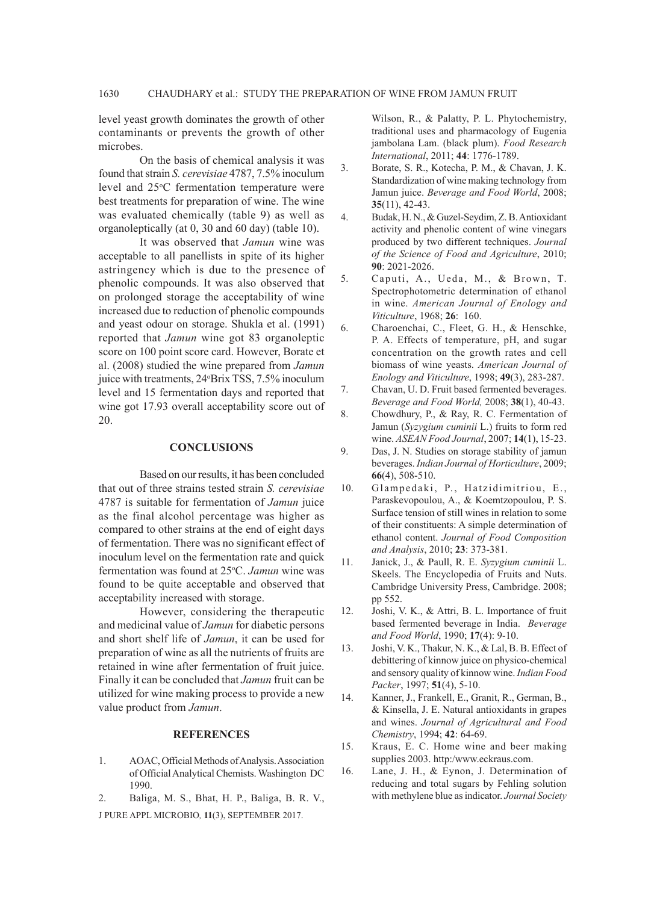level yeast growth dominates the growth of other contaminants or prevents the growth of other microbes.

On the basis of chemical analysis it was found that strain *S. cerevisiae* 4787, 7.5% inoculum level and 25°C fermentation temperature were best treatments for preparation of wine. The wine was evaluated chemically (table 9) as well as organoleptically (at 0, 30 and 60 day) (table 10).

It was observed that *Jamun* wine was acceptable to all panellists in spite of its higher astringency which is due to the presence of phenolic compounds. It was also observed that on prolonged storage the acceptability of wine increased due to reduction of phenolic compounds and yeast odour on storage. Shukla et al. (1991) reported that *Jamun* wine got 83 organoleptic score on 100 point score card. However, Borate et al. (2008) studied the wine prepared from *Jamun* juice with treatments, 24°Brix TSS, 7.5% inoculum level and 15 fermentation days and reported that wine got 17.93 overall acceptability score out of 20.

#### **CONCLUSIONS**

Based on our results, it has been concluded that out of three strains tested strain *S. cerevisiae*  4787 is suitable for fermentation of *Jamun* juice as the final alcohol percentage was higher as compared to other strains at the end of eight days of fermentation. There was no significant effect of inoculum level on the fermentation rate and quick fermentation was found at 25°C. Jamun wine was found to be quite acceptable and observed that acceptability increased with storage.

However, considering the therapeutic and medicinal value of *Jamun* for diabetic persons and short shelf life of *Jamun*, it can be used for preparation of wine as all the nutrients of fruits are retained in wine after fermentation of fruit juice. Finally it can be concluded that *Jamun* fruit can be utilized for wine making process to provide a new value product from *Jamun*.

## **REFERENCES**

- 1. AOAC, Official Methods of Analysis. Association of Official Analytical Chemists. Washington DC 1990.
- J PURE APPL MICROBIO*,* **11**(3), SEPTEMBER 2017. 2. Baliga, M. S., Bhat, H. P., Baliga, B. R. V.,

Wilson, R., & Palatty, P. L. Phytochemistry, traditional uses and pharmacology of Eugenia jambolana Lam. (black plum). *Food Research International*, 2011; **44**: 1776-1789.

- 3. Borate, S. R., Kotecha, P. M., & Chavan, J. K. Standardization of wine making technology from Jamun juice. *Beverage and Food World*, 2008; **35**(11), 42-43.
- 4. Budak, H. N., & Guzel-Seydim, Z. B. Antioxidant activity and phenolic content of wine vinegars produced by two different techniques. *Journal of the Science of Food and Agriculture*, 2010; **90**: 2021-2026.
- 5. Caputi, A., Ueda, M., & Brown, T. Spectrophotometric determination of ethanol in wine. *American Journal of Enology and Viticulture*, 1968; **26**: 160.
- 6. Charoenchai, C., Fleet, G. H., & Henschke, P. A. Effects of temperature, pH, and sugar concentration on the growth rates and cell biomass of wine yeasts. *American Journal of Enology and Viticulture*, 1998; **49**(3), 283-287.
- 7. Chavan, U. D. Fruit based fermented beverages. *Beverage and Food World,* 2008; **38**(1), 40-43.
- 8. Chowdhury, P., & Ray, R. C. Fermentation of Jamun (*Syzygium cuminii* L.) fruits to form red wine. *ASEAN Food Journal*, 2007; **14**(1), 15-23.
- 9. Das, J. N. Studies on storage stability of jamun beverages. *Indian Journal of Horticulture*, 2009; **66**(4), 508-510.
- 10. Glampedaki, P., Hatzidimitriou, E., Paraskevopoulou, A., & Koemtzopoulou, P. S. Surface tension of still wines in relation to some of their constituents: A simple determination of ethanol content. *Journal of Food Composition and Analysis*, 2010; **23**: 373-381.
- 11. Janick, J., & Paull, R. E. *Syzygium cuminii* L. Skeels. The Encyclopedia of Fruits and Nuts. Cambridge University Press, Cambridge. 2008; pp 552.
- 12. Joshi, V. K., & Attri, B. L. Importance of fruit based fermented beverage in India. *Beverage and Food World*, 1990; **17**(4): 9-10.
- 13. Joshi, V. K., Thakur, N. K., & Lal, B. B. Effect of debittering of kinnow juice on physico-chemical and sensory quality of kinnow wine. *Indian Food Packer*, 1997; **51**(4), 5-10.
- 14. Kanner, J., Frankell, E., Granit, R., German, B., & Kinsella, J. E. Natural antioxidants in grapes and wines. *Journal of Agricultural and Food Chemistry*, 1994; **42**: 64-69.
- 15. Kraus, E. C. Home wine and beer making supplies 2003. http:/www.eckraus.com.
- 16. Lane, J. H., & Eynon, J. Determination of reducing and total sugars by Fehling solution with methylene blue as indicator. *Journal Society*